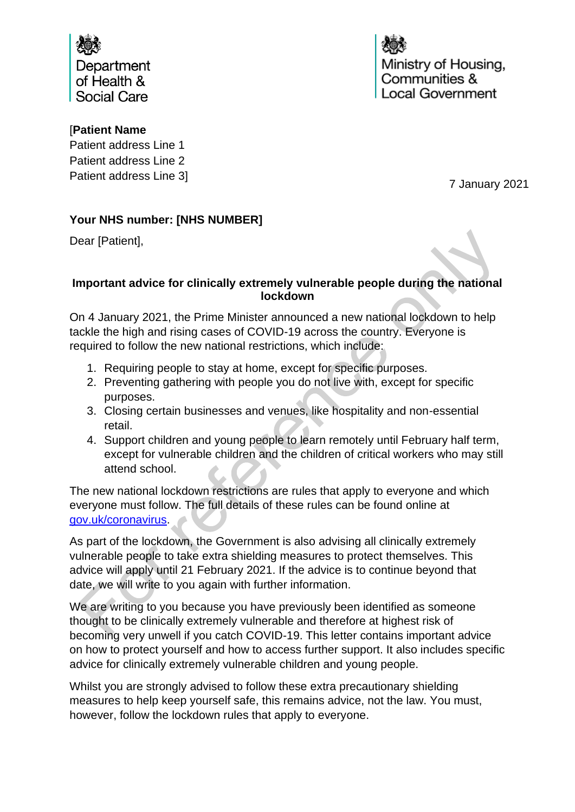

# [**Patient Name**

Patient address Line 1 Patient address Line 2 Patient address Line 3]

7 January 2021

# **Your NHS number: [NHS NUMBER]**

Dear [Patient],

### **Important advice for clinically extremely vulnerable people during the national lockdown**

On 4 January 2021, the Prime Minister announced a new national lockdown to help tackle the high and rising cases of COVID-19 across the country. Everyone is required to follow the new national restrictions, which include:

- 1. Requiring people to stay at home, except for specific purposes.
- 2. Preventing gathering with people you do not live with, except for specific purposes.
- 3. Closing certain businesses and venues, like hospitality and non-essential retail.
- 4. Support children and young people to learn remotely until February half term, except for vulnerable children and the children of critical workers who may still attend school.

The new national lockdown restrictions are rules that apply to everyone and which everyone must follow. The full details of these rules can be found online at [gov.uk/coronavirus.](http://www.gov.uk/coronavirus)

As part of the lockdown, the Government is also advising all clinically extremely vulnerable people to take extra shielding measures to protect themselves. This advice will apply until 21 February 2021. If the advice is to continue beyond that date, we will write to you again with further information.

We are writing to you because you have previously been identified as someone thought to be clinically extremely vulnerable and therefore at highest risk of becoming very unwell if you catch COVID-19. This letter contains important advice on how to protect yourself and how to access further support. It also includes specific advice for clinically extremely vulnerable children and young people.

Whilst you are strongly advised to follow these extra precautionary shielding measures to help keep yourself safe, this remains advice, not the law. You must, however, follow the lockdown rules that apply to everyone.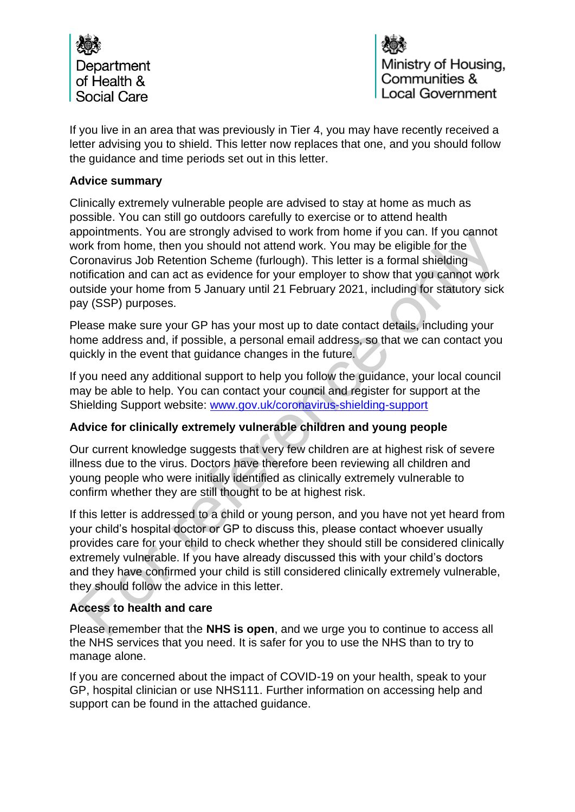

If you live in an area that was previously in Tier 4, you may have recently received a letter advising you to shield. This letter now replaces that one, and you should follow the guidance and time periods set out in this letter.

### **Advice summary**

Clinically extremely vulnerable people are advised to stay at home as much as possible. You can still go outdoors carefully to exercise or to attend health appointments. You are strongly advised to work from home if you can. If you cannot work from home, then you should not attend work. You may be eligible for the Coronavirus Job Retention Scheme (furlough). This letter is a formal shielding notification and can act as evidence for your employer to show that you cannot work outside your home from 5 January until 21 February 2021, including for statutory sick pay (SSP) purposes.

Please make sure your GP has your most up to date contact details, including your home address and, if possible, a personal email address, so that we can contact you quickly in the event that guidance changes in the future.

If you need any additional support to help you follow the guidance, your local council may be able to help. You can contact your council and register for support at the Shielding Support website: [www.gov.uk/coronavirus-shielding-support](http://www.gov.uk/coronavirus-shielding-support)

# **Advice for clinically extremely vulnerable children and young people**

Our current knowledge suggests that very few children are at highest risk of severe illness due to the virus. Doctors have therefore been reviewing all children and young people who were initially identified as clinically extremely vulnerable to confirm whether they are still thought to be at highest risk.

If this letter is addressed to a child or young person, and you have not yet heard from your child's hospital doctor or GP to discuss this, please contact whoever usually provides care for your child to check whether they should still be considered clinically extremely vulnerable. If you have already discussed this with your child's doctors and they have confirmed your child is still considered clinically extremely vulnerable, they should follow the advice in this letter.

# **Access to health and care**

Please remember that the **NHS is open**, and we urge you to continue to access all the NHS services that you need. It is safer for you to use the NHS than to try to manage alone.

If you are concerned about the impact of COVID-19 on your health, speak to your GP, hospital clinician or use NHS111. Further information on accessing help and support can be found in the attached guidance.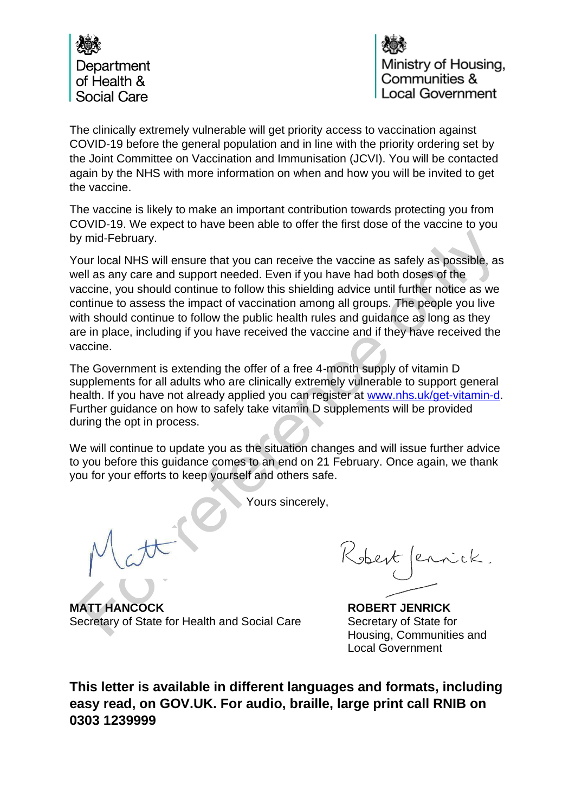

The clinically extremely vulnerable will get priority access to vaccination against COVID-19 before the general population and in line with the priority ordering set by the Joint Committee on Vaccination and Immunisation (JCVI). You will be contacted again by the NHS with more information on when and how you will be invited to get the vaccine.

The vaccine is likely to make an important contribution towards protecting you from COVID-19. We expect to have been able to offer the first dose of the vaccine to you by mid-February.

Your local NHS will ensure that you can receive the vaccine as safely as possible, as well as any care and support needed. Even if you have had both doses of the vaccine, you should continue to follow this shielding advice until further notice as we continue to assess the impact of vaccination among all groups. The people you live with should continue to follow the public health rules and guidance as long as they are in place, including if you have received the vaccine and if they have received the vaccine.

The Government is extending the offer of a free 4-month supply of vitamin D supplements for all adults who are clinically extremely vulnerable to support general health. If you have not already applied you can register at [www.nhs.uk/get-vitamin-d.](http://www.nhs.uk/get-vitamin-d) Further guidance on how to safely take vitamin D supplements will be provided during the opt in process.

We will continue to update you as the situation changes and will issue further advice to you before this guidance comes to an end on 21 February. Once again, we thank you for your efforts to keep yourself and others safe.

Yours sincerely,

**MATT HANCOCK ROBERT JENRICK** Secretary of State for Health and Social Care Secretary of State for

Kobert fernick.

Housing, Communities and Local Government

**This letter is available in different languages and formats, including easy read, on GOV.UK. For audio, braille, large print call RNIB on 0303 1239999**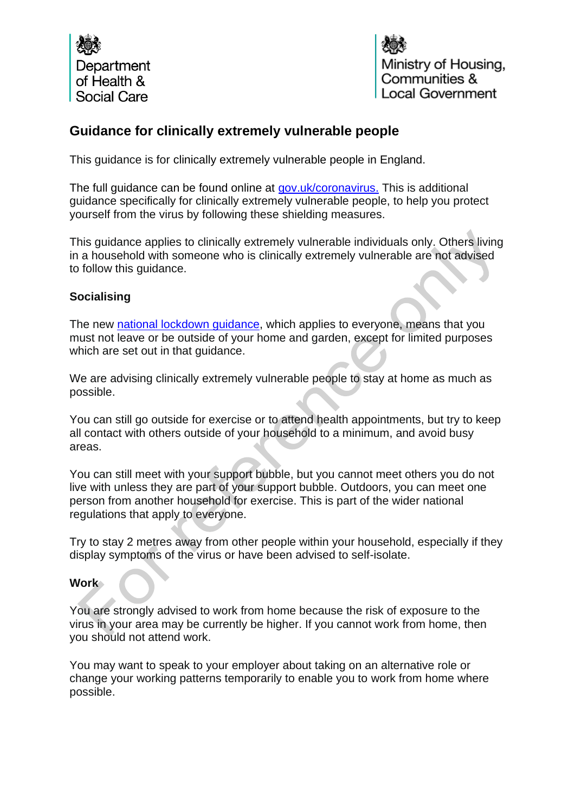

# **Guidance for clinically extremely vulnerable people**

This guidance is for clinically extremely vulnerable people in England.

The full guidance can be found online at [gov.uk/coronavirus.](http://www.gov.uk/coronavirus) This is additional guidance specifically for clinically extremely vulnerable people, to help you protect yourself from the virus by following these shielding measures.

This guidance applies to clinically extremely vulnerable individuals only. Others living in a household with someone who is clinically extremely vulnerable are not advised to follow this guidance.

# **Socialising**

The new [national lockdown guidance,](https://www.gov.uk/guidance/national-lockdown-stay-at-home) which applies to everyone, means that you must not leave or be outside of your home and garden, except for limited purposes which are set out in that guidance.

We are advising clinically extremely vulnerable people to stay at home as much as possible.

You can still go outside for exercise or to attend health appointments, but try to keep all contact with others outside of your household to a minimum, and avoid busy areas.

You can still meet with your support bubble, but you cannot meet others you do not live with unless they are part of your support bubble. Outdoors, you can meet one person from another household for exercise. This is part of the wider national regulations that apply to everyone.

Try to stay 2 metres away from other people within your household, especially if they display symptoms of the virus or have been advised to self-isolate.

#### **Work**

You are strongly advised to work from home because the risk of exposure to the virus in your area may be currently be higher. If you cannot work from home, then you should not attend work.

You may want to speak to your employer about taking on an alternative role or change your working patterns temporarily to enable you to work from home where possible.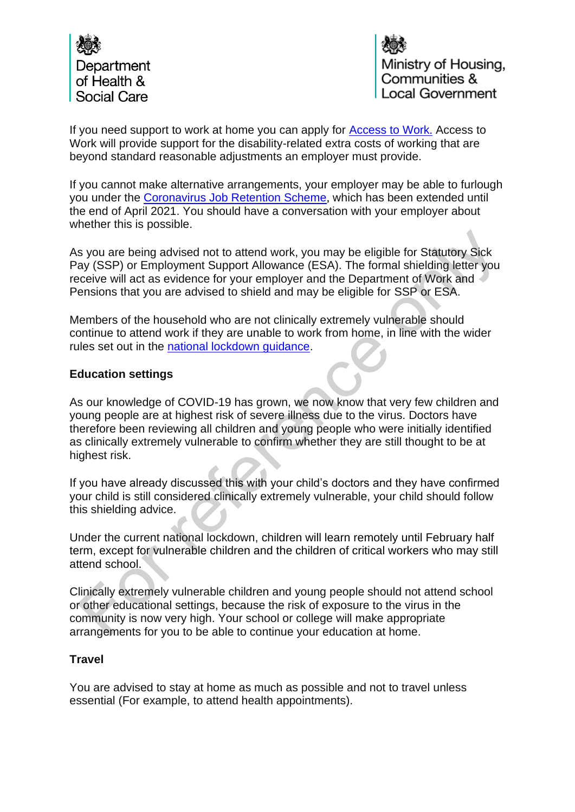

If you need support to work at home you can apply for [Access to Work](https://www.gov.uk/access-to-work). Access to Work will provide support for the disability-related extra costs of working that are beyond standard reasonable adjustments an employer must provide.

If you cannot make alternative arrangements, your employer may be able to furlough you under the [Coronavirus Job Retention Scheme](https://www.gov.uk/government/collections/coronavirus-job-retention-scheme), which has been extended until the end of April 2021. You should have a conversation with your employer about whether this is possible.

As you are being advised not to attend work, you may be eligible for Statutory Sick Pay (SSP) or Employment Support Allowance (ESA). The formal shielding letter you receive will act as evidence for your employer and the Department of Work and Pensions that you are advised to shield and may be eligible for SSP or ESA.

Members of the household who are not clinically extremely vulnerable should continue to attend work if they are unable to work from home, in line with the wider rules set out in the [national lockdown guidance.](https://www.gov.uk/guidance/national-lockdown-stay-at-home)

# **Education settings**

As our knowledge of COVID-19 has grown, we now know that very few children and young people are at highest risk of severe illness due to the virus. Doctors have therefore been reviewing all children and young people who were initially identified as clinically extremely vulnerable to confirm whether they are still thought to be at highest risk.

If you have already discussed this with your child's doctors and they have confirmed your child is still considered clinically extremely vulnerable, your child should follow this shielding advice.

Under the current national lockdown, children will learn remotely until February half term, except for vulnerable children and the children of critical workers who may still attend school.

Clinically extremely vulnerable children and young people should not attend school or other educational settings, because the risk of exposure to the virus in the community is now very high. Your school or college will make appropriate arrangements for you to be able to continue your education at home.

### **Travel**

You are advised to stay at home as much as possible and not to travel unless essential (For example, to attend health appointments).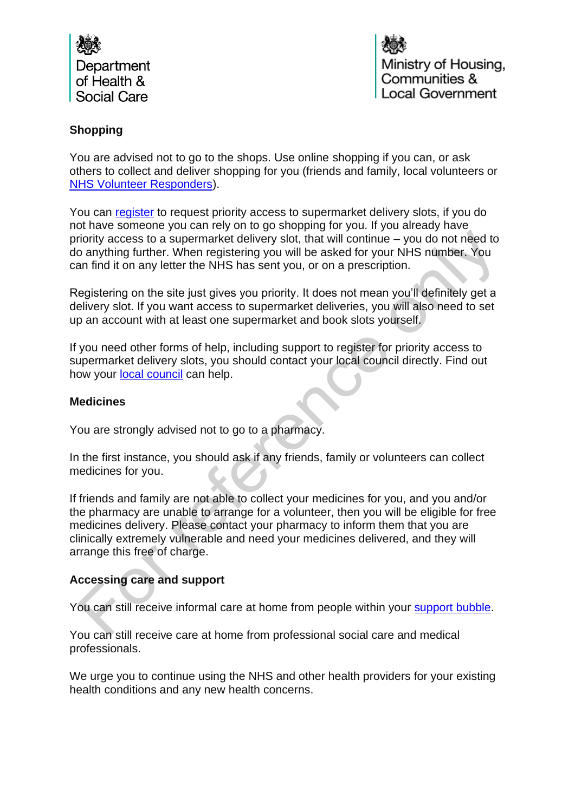

# **Shopping**

You are advised not to go to the shops. Use online shopping if you can, or ask others to collect and deliver shopping for you (friends and family, local volunteers or [NHS Volunteer Responders\)](https://nhsvolunteerresponders.org.uk/).

You can [register](https://www.gov.uk/coronavirus-shielding-support) to request priority access to supermarket delivery slots, if you do not have someone you can rely on to go shopping for you. If you already have priority access to a supermarket delivery slot, that will continue – you do not need to do anything further. When registering you will be asked for your NHS number. You can find it on any letter the NHS has sent you, or on a prescription.

Registering on the site just gives you priority. It does not mean you'll definitely get a delivery slot. If you want access to supermarket deliveries, you will also need to set up an account with at least one supermarket and book slots yourself.

If you need other forms of help, including support to register for priority access to supermarket delivery slots, you should contact your local council directly. Find out how your [local council](https://www.gov.uk/coronavirus-local-help) can help.

### **Medicines**

You are strongly advised not to go to a pharmacy.

In the first instance, you should ask if any friends, family or volunteers can collect medicines for you.

If friends and family are not able to collect your medicines for you, and you and/or the pharmacy are unable to arrange for a volunteer, then you will be eligible for free medicines delivery. Please contact your pharmacy to inform them that you are clinically extremely vulnerable and need your medicines delivered, and they will arrange this free of charge.

# **Accessing care and support**

You can still receive informal care at home from people within your [support bubble.](https://www.gov.uk/guidance/making-a-support-bubble-with-another-household)

You can still receive care at home from professional social care and medical professionals.

We urge you to continue using the NHS and other health providers for your existing health conditions and any new health concerns.